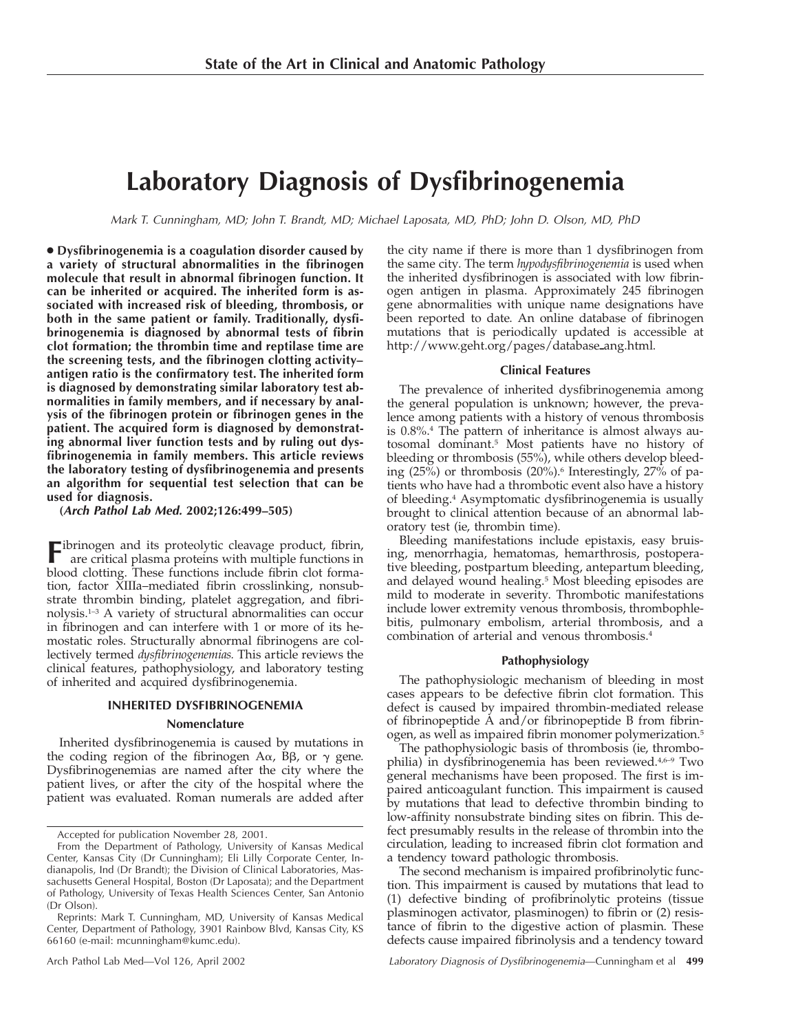# **Laboratory Diagnosis of Dysfibrinogenemia**

Mark T. Cunningham, MD; John T. Brandt, MD; Michael Laposata, MD, PhD; John D. Olson, MD, PhD

● **Dysfibrinogenemia is a coagulation disorder caused by a variety of structural abnormalities in the fibrinogen molecule that result in abnormal fibrinogen function. It can be inherited or acquired. The inherited form is associated with increased risk of bleeding, thrombosis, or both in the same patient or family. Traditionally, dysfibrinogenemia is diagnosed by abnormal tests of fibrin clot formation; the thrombin time and reptilase time are the screening tests, and the fibrinogen clotting activity– antigen ratio is the confirmatory test. The inherited form is diagnosed by demonstrating similar laboratory test abnormalities in family members, and if necessary by analysis of the fibrinogen protein or fibrinogen genes in the patient. The acquired form is diagnosed by demonstrating abnormal liver function tests and by ruling out dysfibrinogenemia in family members. This article reviews the laboratory testing of dysfibrinogenemia and presents an algorithm for sequential test selection that can be used for diagnosis.**

**(Arch Pathol Lab Med. 2002;126:499–505)**

Fibrinogen and its proteolytic cleavage product, fibrin, are critical plasma proteins with multiple functions in blood clotting. These functions include fibrin clot formation, factor XIIIa–mediated fibrin crosslinking, nonsubstrate thrombin binding, platelet aggregation, and fibrinolysis.1–3 A variety of structural abnormalities can occur in fibrinogen and can interfere with 1 or more of its hemostatic roles. Structurally abnormal fibrinogens are collectively termed *dysfibrinogenemias.* This article reviews the clinical features, pathophysiology, and laboratory testing of inherited and acquired dysfibrinogenemia.

### **INHERITED DYSFIBRINOGENEMIA**

### **Nomenclature**

Inherited dysfibrinogenemia is caused by mutations in the coding region of the fibrinogen A $\alpha$ , B $\beta$ , or  $\gamma$  gene. Dysfibrinogenemias are named after the city where the patient lives, or after the city of the hospital where the patient was evaluated. Roman numerals are added after

the city name if there is more than 1 dysfibrinogen from the same city. The term *hypodysfibrinogenemia* is used when the inherited dysfibrinogen is associated with low fibrinogen antigen in plasma. Approximately 245 fibrinogen gene abnormalities with unique name designations have been reported to date. An online database of fibrinogen mutations that is periodically updated is accessible at http://www.geht.org/pages/database\_ang.html.

### **Clinical Features**

The prevalence of inherited dysfibrinogenemia among the general population is unknown; however, the prevalence among patients with a history of venous thrombosis is 0.8%.4 The pattern of inheritance is almost always autosomal dominant.5 Most patients have no history of bleeding or thrombosis (55%), while others develop bleeding  $(25\%)$  or thrombosis  $(20\%)$ .<sup>6</sup> Interestingly,  $27\%$  of patients who have had a thrombotic event also have a history of bleeding.4 Asymptomatic dysfibrinogenemia is usually brought to clinical attention because of an abnormal laboratory test (ie, thrombin time).

Bleeding manifestations include epistaxis, easy bruising, menorrhagia, hematomas, hemarthrosis, postoperative bleeding, postpartum bleeding, antepartum bleeding, and delayed wound healing.5 Most bleeding episodes are mild to moderate in severity. Thrombotic manifestations include lower extremity venous thrombosis, thrombophlebitis, pulmonary embolism, arterial thrombosis, and a combination of arterial and venous thrombosis.4

### **Pathophysiology**

The pathophysiologic mechanism of bleeding in most cases appears to be defective fibrin clot formation. This defect is caused by impaired thrombin-mediated release of fibrinopeptide A and/or fibrinopeptide B from fibrinogen, as well as impaired fibrin monomer polymerization.5

The pathophysiologic basis of thrombosis (ie, thrombophilia) in dysfibrinogenemia has been reviewed.<sup>4,6-9</sup> Two general mechanisms have been proposed. The first is impaired anticoagulant function. This impairment is caused by mutations that lead to defective thrombin binding to low-affinity nonsubstrate binding sites on fibrin. This defect presumably results in the release of thrombin into the circulation, leading to increased fibrin clot formation and a tendency toward pathologic thrombosis.

The second mechanism is impaired profibrinolytic function. This impairment is caused by mutations that lead to (1) defective binding of profibrinolytic proteins (tissue plasminogen activator, plasminogen) to fibrin or (2) resistance of fibrin to the digestive action of plasmin. These defects cause impaired fibrinolysis and a tendency toward

Accepted for publication November 28, 2001.

From the Department of Pathology, University of Kansas Medical Center, Kansas City (Dr Cunningham); Eli Lilly Corporate Center, Indianapolis, Ind (Dr Brandt); the Division of Clinical Laboratories, Massachusetts General Hospital, Boston (Dr Laposata); and the Department of Pathology, University of Texas Health Sciences Center, San Antonio (Dr Olson).

Reprints: Mark T. Cunningham, MD, University of Kansas Medical Center, Department of Pathology, 3901 Rainbow Blvd, Kansas City, KS 66160 (e-mail: mcunningham@kumc.edu).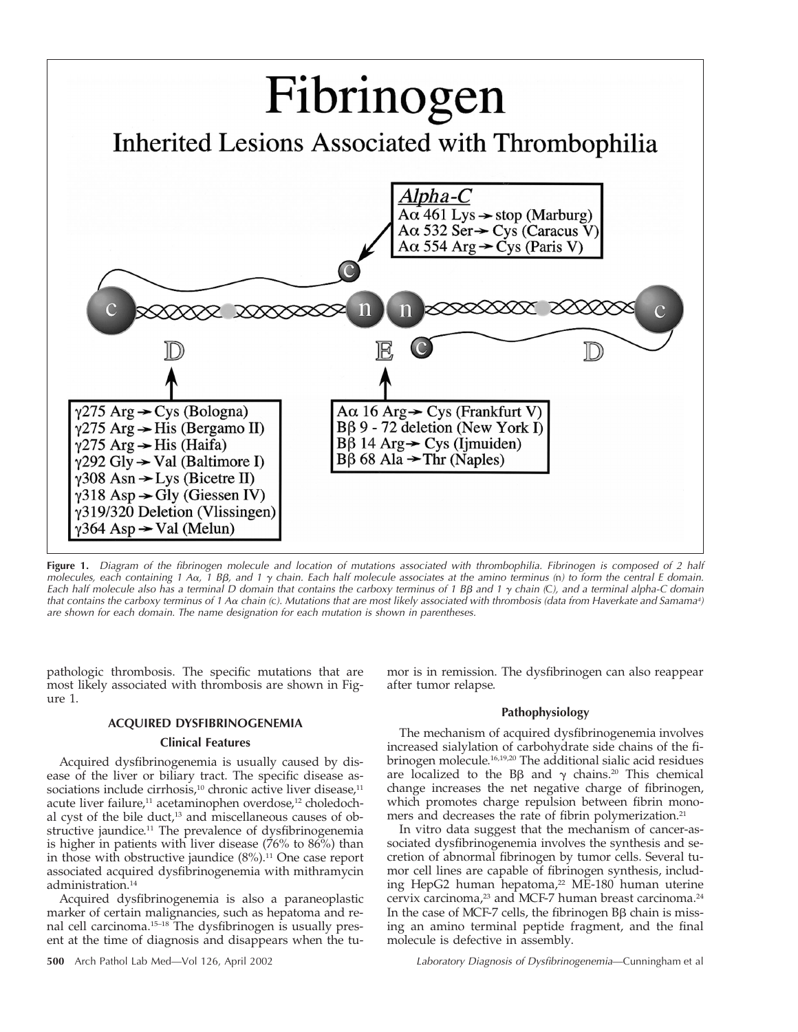

**Figure 1.** Diagram of the fibrinogen molecule and location of mutations associated with thrombophilia. Fibrinogen is composed of <sup>2</sup> half molecules, each containing 1 A $\alpha$ , 1 B $\beta$ , and 1  $\gamma$  chain. Each half molecule associates at the amino terminus (n) to form the central E domain. Each half molecule also has a terminal D domain that contains the carboxy terminus of 1 BB and 1  $\gamma$  chain (C), and a terminal alpha-C domain that contains the carboxy terminus of 1 A $\alpha$  chain (c). Mutations that are most likely associated with thrombosis (data from Haverkate and Samama<sup>4</sup>) are shown for each domain. The name designation for each mutation is shown in parentheses.

pathologic thrombosis. The specific mutations that are most likely associated with thrombosis are shown in Figure 1.

### **ACQUIRED DYSFIBRINOGENEMIA**

### **Clinical Features**

Acquired dysfibrinogenemia is usually caused by disease of the liver or biliary tract. The specific disease associations include cirrhosis,<sup>10</sup> chronic active liver disease,<sup>11</sup> acute liver failure,<sup>11</sup> acetaminophen overdose,<sup>12</sup> choledochal cyst of the bile duct,<sup>13</sup> and miscellaneous causes of obstructive jaundice.<sup>11</sup> The prevalence of dysfibrinogenemia is higher in patients with liver disease  $(76\%$  to  $86\%)$  than in those with obstructive jaundice  $(8\%)$ .<sup>11</sup> One case report associated acquired dysfibrinogenemia with mithramycin administration.14

Acquired dysfibrinogenemia is also a paraneoplastic marker of certain malignancies, such as hepatoma and renal cell carcinoma.15–18 The dysfibrinogen is usually present at the time of diagnosis and disappears when the tu-

mor is in remission. The dysfibrinogen can also reappear after tumor relapse.

### **Pathophysiology**

The mechanism of acquired dysfibrinogenemia involves increased sialylation of carbohydrate side chains of the fibrinogen molecule.16,19,20 The additional sialic acid residues are localized to the B $\beta$  and  $\gamma$  chains.<sup>20</sup> This chemical change increases the net negative charge of fibrinogen, which promotes charge repulsion between fibrin monomers and decreases the rate of fibrin polymerization.<sup>21</sup>

In vitro data suggest that the mechanism of cancer-associated dysfibrinogenemia involves the synthesis and secretion of abnormal fibrinogen by tumor cells. Several tumor cell lines are capable of fibrinogen synthesis, including HepG2 human hepatoma,<sup>22</sup> ME-180 human uterine cervix carcinoma,<sup>23</sup> and MCF-7 human breast carcinoma.<sup>24</sup> In the case of MCF-7 cells, the fibrinogen  $B\beta$  chain is missing an amino terminal peptide fragment, and the final molecule is defective in assembly.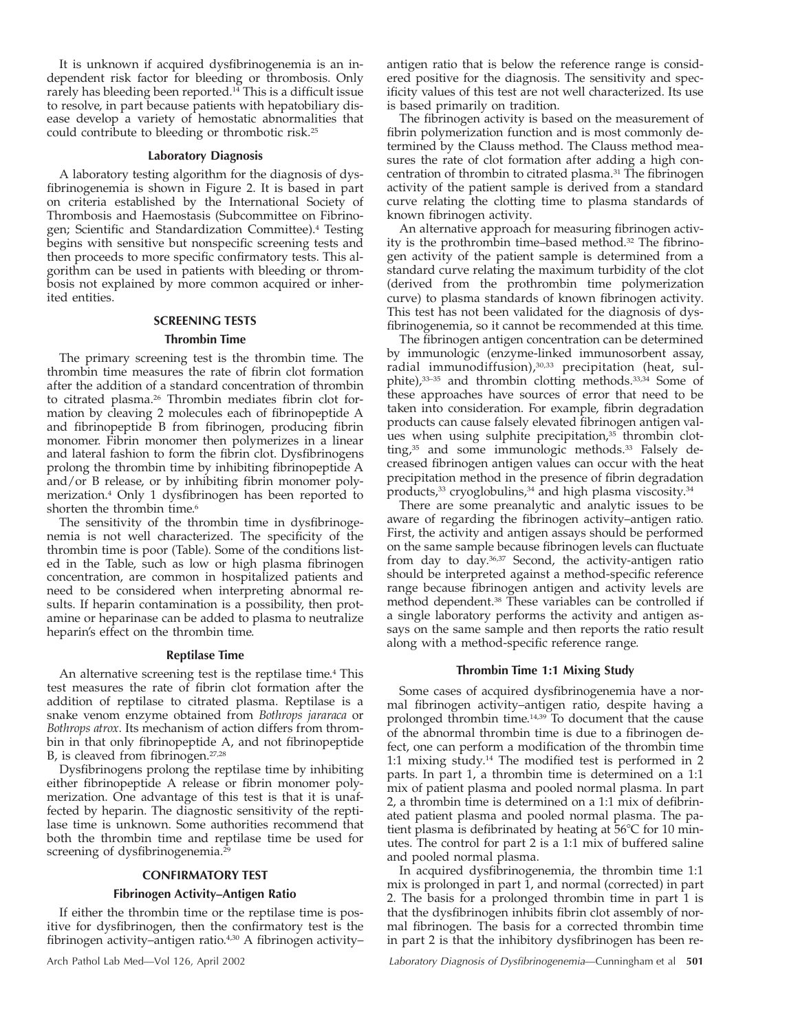It is unknown if acquired dysfibrinogenemia is an independent risk factor for bleeding or thrombosis. Only rarely has bleeding been reported.<sup>14</sup> This is a difficult issue to resolve, in part because patients with hepatobiliary disease develop a variety of hemostatic abnormalities that could contribute to bleeding or thrombotic risk.25

### **Laboratory Diagnosis**

A laboratory testing algorithm for the diagnosis of dysfibrinogenemia is shown in Figure 2. It is based in part on criteria established by the International Society of Thrombosis and Haemostasis (Subcommittee on Fibrinogen; Scientific and Standardization Committee).4 Testing begins with sensitive but nonspecific screening tests and then proceeds to more specific confirmatory tests. This algorithm can be used in patients with bleeding or thrombosis not explained by more common acquired or inherited entities.

## **SCREENING TESTS Thrombin Time**

The primary screening test is the thrombin time. The thrombin time measures the rate of fibrin clot formation after the addition of a standard concentration of thrombin to citrated plasma.<sup>26</sup> Thrombin mediates fibrin clot formation by cleaving 2 molecules each of fibrinopeptide A and fibrinopeptide B from fibrinogen, producing fibrin monomer. Fibrin monomer then polymerizes in a linear and lateral fashion to form the fibrin clot. Dysfibrinogens prolong the thrombin time by inhibiting fibrinopeptide A and/or B release, or by inhibiting fibrin monomer polymerization.4 Only 1 dysfibrinogen has been reported to shorten the thrombin time.<sup>6</sup>

The sensitivity of the thrombin time in dysfibrinogenemia is not well characterized. The specificity of the thrombin time is poor (Table). Some of the conditions listed in the Table, such as low or high plasma fibrinogen concentration, are common in hospitalized patients and need to be considered when interpreting abnormal results. If heparin contamination is a possibility, then protamine or heparinase can be added to plasma to neutralize heparin's effect on the thrombin time.

### **Reptilase Time**

An alternative screening test is the reptilase time.4 This test measures the rate of fibrin clot formation after the addition of reptilase to citrated plasma. Reptilase is a snake venom enzyme obtained from *Bothrops jararaca* or *Bothrops atrox*. Its mechanism of action differs from thrombin in that only fibrinopeptide A, and not fibrinopeptide B, is cleaved from fibrinogen.<sup>27,28</sup>

Dysfibrinogens prolong the reptilase time by inhibiting either fibrinopeptide A release or fibrin monomer polymerization. One advantage of this test is that it is unaffected by heparin. The diagnostic sensitivity of the reptilase time is unknown. Some authorities recommend that both the thrombin time and reptilase time be used for screening of dysfibrinogenemia.<sup>29</sup>

### **CONFIRMATORY TEST**

### **Fibrinogen Activity–Antigen Ratio**

If either the thrombin time or the reptilase time is positive for dysfibrinogen, then the confirmatory test is the fibrinogen activity–antigen ratio.4,30 A fibrinogen activity–

antigen ratio that is below the reference range is considered positive for the diagnosis. The sensitivity and specificity values of this test are not well characterized. Its use is based primarily on tradition.

The fibrinogen activity is based on the measurement of fibrin polymerization function and is most commonly determined by the Clauss method. The Clauss method measures the rate of clot formation after adding a high concentration of thrombin to citrated plasma.31 The fibrinogen activity of the patient sample is derived from a standard curve relating the clotting time to plasma standards of known fibrinogen activity.

An alternative approach for measuring fibrinogen activity is the prothrombin time–based method.32 The fibrinogen activity of the patient sample is determined from a standard curve relating the maximum turbidity of the clot (derived from the prothrombin time polymerization curve) to plasma standards of known fibrinogen activity. This test has not been validated for the diagnosis of dysfibrinogenemia, so it cannot be recommended at this time.

The fibrinogen antigen concentration can be determined by immunologic (enzyme-linked immunosorbent assay, radial immunodiffusion),<sup>30,33</sup> precipitation (heat, sulphite),33–35 and thrombin clotting methods.33,34 Some of these approaches have sources of error that need to be taken into consideration. For example, fibrin degradation products can cause falsely elevated fibrinogen antigen values when using sulphite precipitation,<sup>35</sup> thrombin clotting,<sup>35</sup> and some immunologic methods.<sup>33</sup> Falsely decreased fibrinogen antigen values can occur with the heat precipitation method in the presence of fibrin degradation products, $33$  cryoglobulins, $34$  and high plasma viscosity. $34$ 

There are some preanalytic and analytic issues to be aware of regarding the fibrinogen activity–antigen ratio. First, the activity and antigen assays should be performed on the same sample because fibrinogen levels can fluctuate from day to day.36,37 Second, the activity-antigen ratio should be interpreted against a method-specific reference range because fibrinogen antigen and activity levels are method dependent.38 These variables can be controlled if a single laboratory performs the activity and antigen assays on the same sample and then reports the ratio result along with a method-specific reference range.

### **Thrombin Time 1:1 Mixing Study**

Some cases of acquired dysfibrinogenemia have a normal fibrinogen activity–antigen ratio, despite having a prolonged thrombin time.14,39 To document that the cause of the abnormal thrombin time is due to a fibrinogen defect, one can perform a modification of the thrombin time 1:1 mixing study.14 The modified test is performed in 2 parts. In part 1, a thrombin time is determined on a 1:1 mix of patient plasma and pooled normal plasma. In part 2, a thrombin time is determined on a 1:1 mix of defibrinated patient plasma and pooled normal plasma. The patient plasma is defibrinated by heating at  $56^{\circ}$ C for 10 minutes. The control for part 2 is a 1:1 mix of buffered saline and pooled normal plasma.

In acquired dysfibrinogenemia, the thrombin time 1:1 mix is prolonged in part 1, and normal (corrected) in part 2. The basis for a prolonged thrombin time in part 1 is that the dysfibrinogen inhibits fibrin clot assembly of normal fibrinogen. The basis for a corrected thrombin time in part 2 is that the inhibitory dysfibrinogen has been re-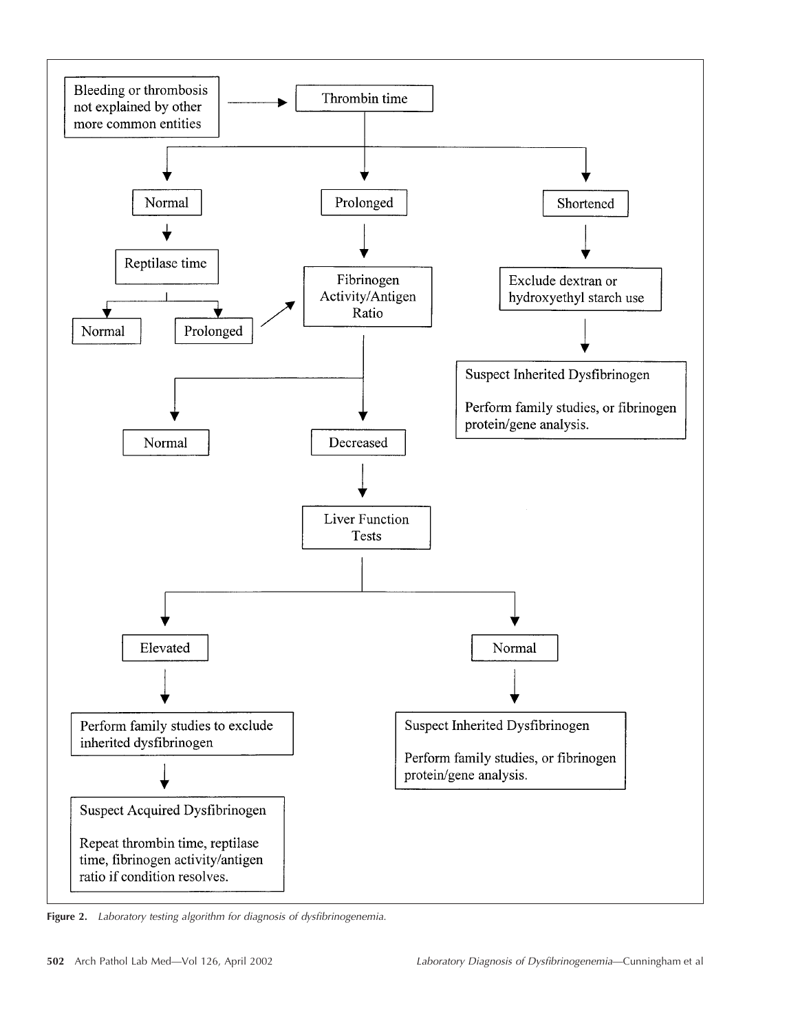

Figure 2. Laboratory testing algorithm for diagnosis of dysfibrinogenemia.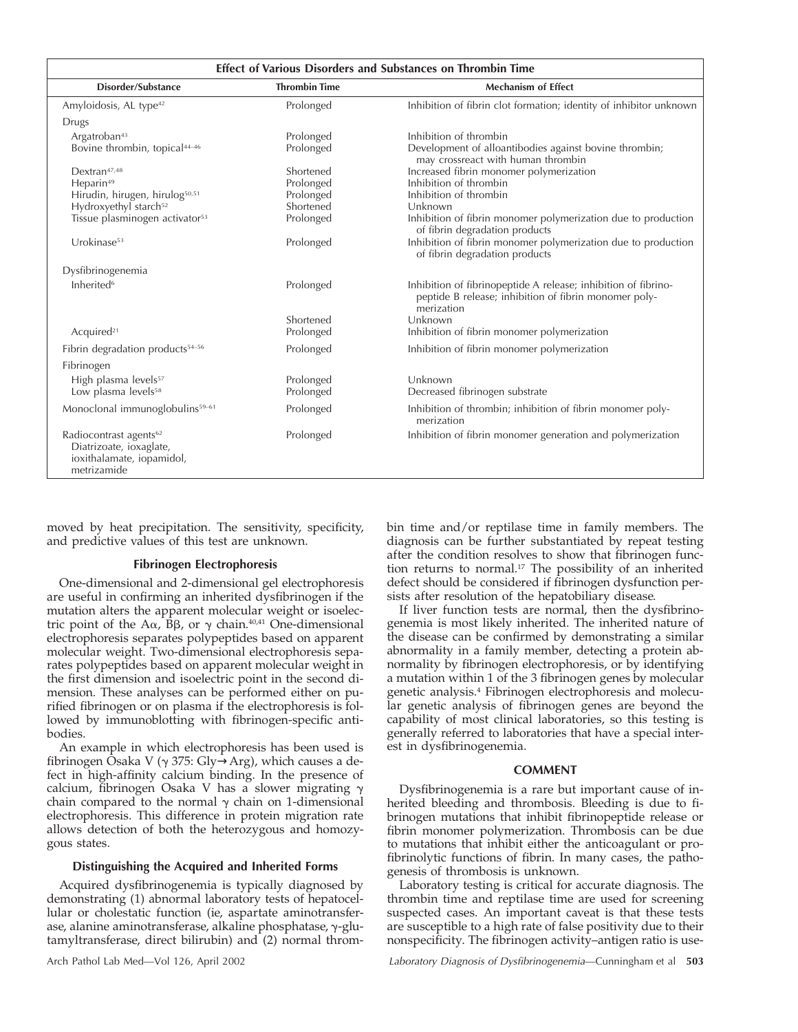| <b>Effect of Various Disorders and Substances on Thrombin Time</b>                                        |                      |                                                                                                                                       |
|-----------------------------------------------------------------------------------------------------------|----------------------|---------------------------------------------------------------------------------------------------------------------------------------|
| Disorder/Substance                                                                                        | <b>Thrombin Time</b> | <b>Mechanism of Effect</b>                                                                                                            |
| Amyloidosis, AL type <sup>42</sup>                                                                        | Prolonged            | Inhibition of fibrin clot formation; identity of inhibitor unknown                                                                    |
| Drugs                                                                                                     |                      |                                                                                                                                       |
| Argatroban <sup>43</sup>                                                                                  | Prolonged            | Inhibition of thrombin                                                                                                                |
| Bovine thrombin, topical <sup>44-46</sup>                                                                 | Prolonged            | Development of alloantibodies against bovine thrombin;<br>may crossreact with human thrombin                                          |
| Dextran <sup>47,48</sup>                                                                                  | Shortened            | Increased fibrin monomer polymerization                                                                                               |
| Heparin <sup>49</sup>                                                                                     | Prolonged            | Inhibition of thrombin                                                                                                                |
| Hirudin, hirugen, hirulog <sup>50,51</sup>                                                                | Prolonged            | Inhibition of thrombin                                                                                                                |
| Hydroxyethyl starch <sup>52</sup>                                                                         | Shortened            | Unknown                                                                                                                               |
| Tissue plasminogen activator <sup>53</sup>                                                                | Prolonged            | Inhibition of fibrin monomer polymerization due to production<br>of fibrin degradation products                                       |
| Urokinase <sup>53</sup>                                                                                   | Prolonged            | Inhibition of fibrin monomer polymerization due to production<br>of fibrin degradation products                                       |
| Dysfibrinogenemia                                                                                         |                      |                                                                                                                                       |
| Inherited <sup>6</sup>                                                                                    | Prolonged            | Inhibition of fibrinopeptide A release; inhibition of fibrino-<br>peptide B release; inhibition of fibrin monomer poly-<br>merization |
|                                                                                                           | Shortened            | Unknown                                                                                                                               |
| Acquired <sup>21</sup>                                                                                    | Prolonged            | Inhibition of fibrin monomer polymerization                                                                                           |
| Fibrin degradation products <sup>54-56</sup>                                                              | Prolonged            | Inhibition of fibrin monomer polymerization                                                                                           |
| Fibrinogen                                                                                                |                      |                                                                                                                                       |
| High plasma levels <sup>57</sup>                                                                          | Prolonged            | Unknown                                                                                                                               |
| Low plasma levels <sup>58</sup>                                                                           | Prolonged            | Decreased fibrinogen substrate                                                                                                        |
| Monoclonal immunoglobulins <sup>59-61</sup>                                                               | Prolonged            | Inhibition of thrombin; inhibition of fibrin monomer poly-<br>merization                                                              |
| Radiocontrast agents <sup>62</sup><br>Diatrizoate, ioxaglate,<br>ioxithalamate, iopamidol,<br>metrizamide | Prolonged            | Inhibition of fibrin monomer generation and polymerization                                                                            |

moved by heat precipitation. The sensitivity, specificity, and predictive values of this test are unknown.

### **Fibrinogen Electrophoresis**

One-dimensional and 2-dimensional gel electrophoresis are useful in confirming an inherited dysfibrinogen if the mutation alters the apparent molecular weight or isoelectric point of the A $\alpha$ ,  $\bar{B}\beta$ , or  $\gamma$  chain.<sup>40,41</sup> One-dimensional electrophoresis separates polypeptides based on apparent molecular weight. Two-dimensional electrophoresis separates polypeptides based on apparent molecular weight in the first dimension and isoelectric point in the second dimension. These analyses can be performed either on purified fibrinogen or on plasma if the electrophoresis is followed by immunoblotting with fibrinogen-specific antibodies.

An example in which electrophoresis has been used is fibrinogen Ōsaka V ( $\gamma$  375: Gly $\rightarrow$ Arg), which causes a defect in high-affinity calcium binding. In the presence of calcium, fibrinogen Osaka V has a slower migrating  $\gamma$ chain compared to the normal  $\gamma$  chain on 1-dimensional electrophoresis. This difference in protein migration rate allows detection of both the heterozygous and homozygous states.

### **Distinguishing the Acquired and Inherited Forms**

Acquired dysfibrinogenemia is typically diagnosed by demonstrating (1) abnormal laboratory tests of hepatocellular or cholestatic function (ie, aspartate aminotransferase, alanine aminotransferase, alkaline phosphatase,  $\gamma$ -glutamyltransferase, direct bilirubin) and (2) normal thrombin time and/or reptilase time in family members. The diagnosis can be further substantiated by repeat testing after the condition resolves to show that fibrinogen function returns to normal.17 The possibility of an inherited defect should be considered if fibrinogen dysfunction persists after resolution of the hepatobiliary disease.

If liver function tests are normal, then the dysfibrinogenemia is most likely inherited. The inherited nature of the disease can be confirmed by demonstrating a similar abnormality in a family member, detecting a protein abnormality by fibrinogen electrophoresis, or by identifying a mutation within 1 of the 3 fibrinogen genes by molecular genetic analysis.4 Fibrinogen electrophoresis and molecular genetic analysis of fibrinogen genes are beyond the capability of most clinical laboratories, so this testing is generally referred to laboratories that have a special interest in dysfibrinogenemia.

### **COMMENT**

Dysfibrinogenemia is a rare but important cause of inherited bleeding and thrombosis. Bleeding is due to fibrinogen mutations that inhibit fibrinopeptide release or fibrin monomer polymerization. Thrombosis can be due to mutations that inhibit either the anticoagulant or profibrinolytic functions of fibrin. In many cases, the pathogenesis of thrombosis is unknown.

Laboratory testing is critical for accurate diagnosis. The thrombin time and reptilase time are used for screening suspected cases. An important caveat is that these tests are susceptible to a high rate of false positivity due to their nonspecificity. The fibrinogen activity–antigen ratio is use-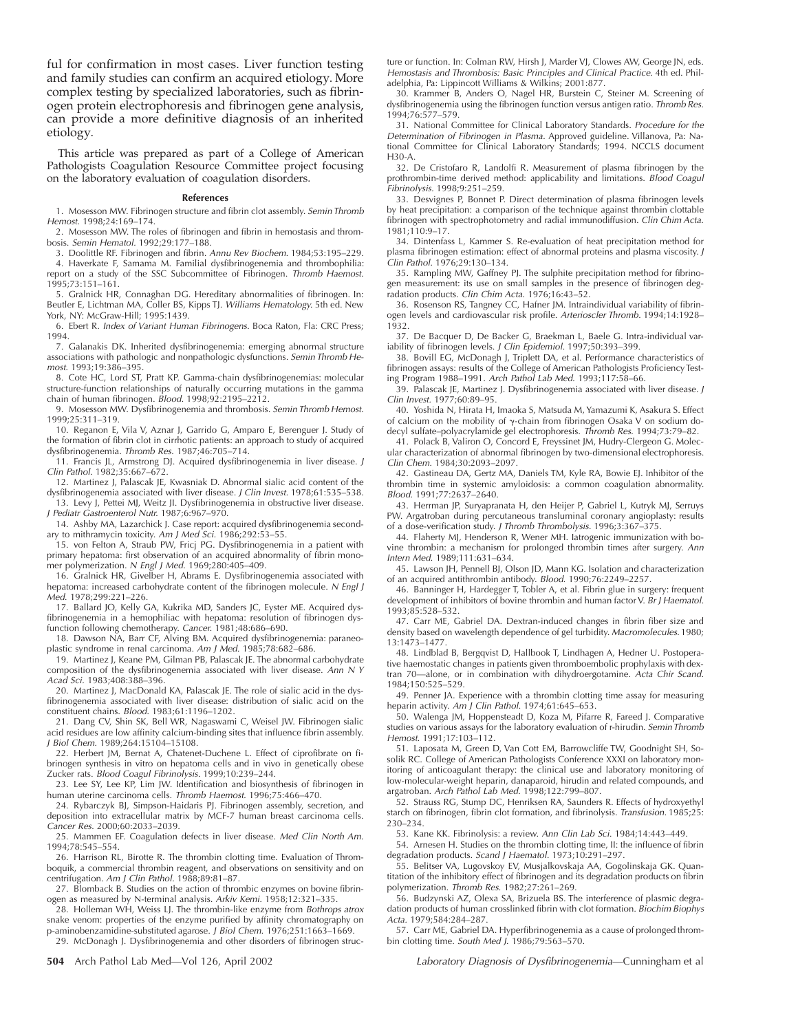ful for confirmation in most cases. Liver function testing and family studies can confirm an acquired etiology. More complex testing by specialized laboratories, such as fibrinogen protein electrophoresis and fibrinogen gene analysis, can provide a more definitive diagnosis of an inherited etiology.

This article was prepared as part of a College of American Pathologists Coagulation Resource Committee project focusing on the laboratory evaluation of coagulation disorders.

#### **References**

1. Mosesson MW. Fibrinogen structure and fibrin clot assembly. Semin Thromb Hemost. 1998;24:169–174.

2. Mosesson MW. The roles of fibrinogen and fibrin in hemostasis and thrombosis. Semin Hematol. 1992;29:177–188.

3. Doolittle RF. Fibrinogen and fibrin. Annu Rev Biochem. 1984;53:195–229.

4. Haverkate F, Samama M. Familial dysfibrinogenemia and thrombophilia: report on a study of the SSC Subcommittee of Fibrinogen. Thromb Haemost. 1995;73:151–161.

5. Gralnick HR, Connaghan DG. Hereditary abnormalities of fibrinogen. In: Beutler E, Lichtman MA, Coller BS, Kipps TJ. Williams Hematology. 5th ed. New York, NY: McGraw-Hill; 1995:1439.

6. Ebert R. Index of Variant Human Fibrinogens. Boca Raton, Fla: CRC Press; 1994.

7. Galanakis DK. Inherited dysfibrinogenemia: emerging abnormal structure associations with pathologic and nonpathologic dysfunctions. Semin Thromb Hemost. 1993;19:386–395.

8. Cote HC, Lord ST, Pratt KP. Gamma-chain dysfibrinogenemias: molecular structure-function relationships of naturally occurring mutations in the gamma chain of human fibrinogen. Blood. 1998;92:2195-2212.

9. Mosesson MW. Dysfibrinogenemia and thrombosis. Semin Thromb Hemost. 1999;25:311–319.

10. Reganon E, Vila V, Aznar J, Garrido G, Amparo E, Berenguer J. Study of the formation of fibrin clot in cirrhotic patients: an approach to study of acquired dysfibrinogenemia. Thromb Res. 1987;46:705–714.

11. Francis JL, Armstrong DJ. Acquired dysfibrinogenemia in liver disease. J Clin Pathol. 1982;35:667–672.

12. Martinez J, Palascak JE, Kwasniak D. Abnormal sialic acid content of the dysfibrinogenemia associated with liver disease. J Clin Invest. 1978;61:535–538.

13. Levy J, Pettei MJ, Weitz JI. Dysfibrinogenemia in obstructive liver disease. J Pediatr Gastroenterol Nutr. 1987;6:967–970.

14. Ashby MA, Lazarchick J. Case report: acquired dysfibrinogenemia secondary to mithramycin toxicity. Am J Med Sci. 1986;292:53–55.

15. von Felton A, Straub PW, Fricj PG. Dysfibrinogenemia in a patient with primary hepatoma: first observation of an acquired abnormality of fibrin monomer polymerization. <sup>N</sup> Engl J Med. 1969;280:405–409.

16. Gralnick HR, Givelber H, Abrams E. Dysfibrinogenemia associated with hepatoma: increased carbohydrate content of the fibrinogen molecule. N Engl J Med. 1978;299:221–226.

17. Ballard JO, Kelly GA, Kukrika MD, Sanders JC, Eyster ME. Acquired dysfibrinogenemia in a hemophiliac with hepatoma: resolution of fibrinogen dysfunction following chemotherapy. Cancer. 1981;48:686–690.

18. Dawson NA, Barr CF, Alving BM. Acquired dysfibrinogenemia: paraneoplastic syndrome in renal carcinoma. Am J Med. 1985;78:682–686.

19. Martinez J, Keane PM, Gilman PB, Palascak JE. The abnormal carbohydrate composition of the dysfibrinogenemia associated with liver disease. Ann N <sup>Y</sup> Acad Sci. 1983;408:388–396.

20. Martinez J, MacDonald KA, Palascak JE. The role of sialic acid in the dysfibrinogenemia associated with liver disease: distribution of sialic acid on the constituent chains. Blood. 1983;61:1196–1202.

21. Dang CV, Shin SK, Bell WR, Nagaswami C, Weisel JW. Fibrinogen sialic acid residues are low affinity calcium-binding sites that influence fibrin assembly. J Biol Chem. 1989;264:15104–15108.

22. Herbert JM, Bernat A, Chatenet-Duchene L. Effect of ciprofibrate on fibrinogen synthesis in vitro on hepatoma cells and in vivo in genetically obese Zucker rats. Blood Coagul Fibrinolysis. 1999;10:239–244.

23. Lee SY, Lee KP, Lim JW. Identification and biosynthesis of fibrinogen in human uterine carcinoma cells. Thromb Haemost. 1996;75:466–470.

24. Rybarczyk BJ, Simpson-Haidaris PJ. Fibrinogen assembly, secretion, and deposition into extracellular matrix by MCF-7 human breast carcinoma cells. Cancer Res. 2000;60:2033–2039.

25. Mammen EF. Coagulation defects in liver disease. Med Clin North Am. 1994;78:545–554.

26. Harrison RL, Birotte R. The thrombin clotting time. Evaluation of Thromboquik, a commercial thrombin reagent, and observations on sensitivity and on centrifugation. Am J Clin Pathol. 1988;89:81–87.

27. Blomback B. Studies on the action of thrombic enzymes on bovine fibrinogen as measured by N-terminal analysis. Arkiv Kemi. 1958;12:321–335.

28. Holleman WH, Weiss LJ. The thrombin-like enzyme from Bothrops atrox snake venom: properties of the enzyme purified by affinity chromatography on

p-aminobenzamidine-substituted agarose. J Biol Chem. 1976;251:1663–1669. 29. McDonagh J. Dysfibrinogenemia and other disorders of fibrinogen struc-

ture or function. In: Colman RW, Hirsh J, Marder VJ, Clowes AW, George JN, eds. Hemostasis and Thrombosis: Basic Principles and Clinical Practice. 4th ed. Philadelphia, Pa: Lippincott Williams & Wilkins; 2001:877.

30. Krammer B, Anders O, Nagel HR, Burstein C, Steiner M. Screening of dysfibrinogenemia using the fibrinogen function versus antigen ratio. Thromb Res. 1994;76:577–579.

31. National Committee for Clinical Laboratory Standards. Procedure for the Determination of Fibrinogen in Plasma. Approved guideline. Villanova, Pa: National Committee for Clinical Laboratory Standards; 1994. NCCLS document H30-A.

32. De Cristofaro R, Landolfi R. Measurement of plasma fibrinogen by the prothrombin-time derived method: applicability and limitations. Blood Coagul Fibrinolysis. 1998;9:251–259.

33. Desvignes P, Bonnet P. Direct determination of plasma fibrinogen levels by heat precipitation: a comparison of the technique against thrombin clottable fibrinogen with spectrophotometry and radial immunodiffusion. Clin Chim Acta. 1981;110:9–17.

34. Dintenfass L, Kammer S. Re-evaluation of heat precipitation method for plasma fibrinogen estimation: effect of abnormal proteins and plasma viscosity. J Clin Pathol. 1976;29:130–134.

35. Rampling MW, Gaffney PJ. The sulphite precipitation method for fibrinogen measurement: its use on small samples in the presence of fibrinogen degradation products. Clin Chim Acta. 1976;16:43–52.

36. Rosenson RS, Tangney CC, Hafner JM. Intraindividual variability of fibrinogen levels and cardiovascular risk profile. Arterioscler Thromb. 1994;14:1928– 1932.

37. De Bacquer D, De Backer G, Braekman L, Baele G. Intra-individual variability of fibrinogen levels. J Clin Epidemiol. 1997;50:393-399.

38. Bovill EG, McDonagh J, Triplett DA, et al. Performance characteristics of fibrinogen assays: results of the College of American Pathologists Proficiency Testing Program 1988–1991. Arch Pathol Lab Med. 1993;117:58–66.

39. Palascak JE, Martinez J. Dysfibrinogenemia associated with liver disease. J Clin Invest. 1977;60:89–95.

40. Yoshida N, Hirata H, Imaoka S, Matsuda M, Yamazumi K, Asakura S. Effect of calcium on the mobility of  $\gamma$ -chain from fibrinogen Osaka V on sodium dodecyl sulfate–polyacrylamide gel electrophoresis. Thromb Res. 1994;73:79–82.

41. Polack B, Valiron O, Concord E, Freyssinet JM, Hudry-Clergeon G. Molecular characterization of abnormal fibrinogen by two-dimensional electrophoresis. Clin Chem. 1984;30:2093–2097.

42. Gastineau DA, Gertz MA, Daniels TM, Kyle RA, Bowie EJ. Inhibitor of the thrombin time in systemic amyloidosis: a common coagulation abnormality. Blood. 1991;77:2637–2640.

43. Herrman JP, Suryapranata H, den Heijer P, Gabriel L, Kutryk MJ, Serruys PW. Argatroban during percutaneous transluminal coronary angioplasty: results of a dose-verification study. J Thromb Thrombolysis. 1996;3:367–375.

44. Flaherty MJ, Henderson R, Wener MH. Iatrogenic immunization with bovine thrombin: a mechanism for prolonged thrombin times after surgery. Ann Intern Med. 1989;111:631–634.

45. Lawson JH, Pennell BJ, Olson JD, Mann KG. Isolation and characterization of an acquired antithrombin antibody. Blood. 1990;76:2249–2257.

46. Banninger H, Hardegger T, Tobler A, et al. Fibrin glue in surgery: frequent development of inhibitors of bovine thrombin and human factor V. Br J Haematol. 1993;85:528–532.

47. Carr ME, Gabriel DA. Dextran-induced changes in fibrin fiber size and density based on wavelength dependence of gel turbidity. Macromolecules. 1980; 13:1473–1477.

48. Lindblad B, Bergqvist D, Hallbook T, Lindhagen A, Hedner U. Postoperative haemostatic changes in patients given thromboembolic prophylaxis with dextran 70—alone, or in combination with dihydroergotamine. Acta Chir Scand. 1984;150:525–529.

49. Penner JA. Experience with a thrombin clotting time assay for measuring heparin activity. Am J Clin Pathol. 1974;61:645–653.

50. Walenga JM, Hoppensteadt D, Koza M, Pifarre R, Fareed J. Comparative studies on various assays for the laboratory evaluation of r-hirudin. Semin Thromb Hemost. 1991;17:103–112.

51. Laposata M, Green D, Van Cott EM, Barrowcliffe TW, Goodnight SH, Sosolik RC. College of American Pathologists Conference XXXI on laboratory monitoring of anticoagulant therapy: the clinical use and laboratory monitoring of low-molecular-weight heparin, danaparoid, hirudin and related compounds, and argatroban. Arch Pathol Lab Med. 1998;122:799–807.

52. Strauss RG, Stump DC, Henriksen RA, Saunders R. Effects of hydroxyethyl starch on fibrinogen, fibrin clot formation, and fibrinolysis. Transfusion. 1985;25: 230–234.

53. Kane KK. Fibrinolysis: a review. Ann Clin Lab Sci. 1984;14:443–449.

54. Arnesen H. Studies on the thrombin clotting time, II: the influence of fibrin degradation products. Scand J Haematol. 1973;10:291–297.

55. Belitser VA, Lugovskoy EV, Musjalkovskaja AA, Gogolinskaja GK. Quantitation of the inhibitory effect of fibrinogen and its degradation products on fibrin polymerization. Thromb Res. 1982;27:261–269.

56. Budzynski AZ, Olexa SA, Brizuela BS. The interference of plasmic degradation products of human crosslinked fibrin with clot formation. Biochim Biophys Acta. 1979;584:284–287.

57. Carr ME, Gabriel DA. Hyperfibrinogenemia as a cause of prolonged thrombin clotting time. South Med J. 1986;79:563–570.